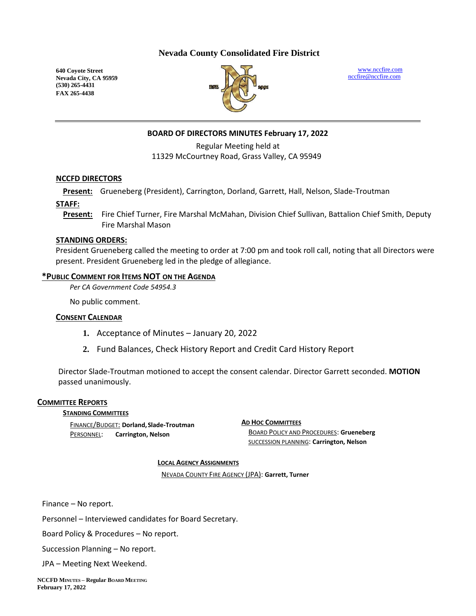## **Nevada County Consolidated Fire District**

**640 Coyote Street Nevada City, CA 95959 (530) 265-4431 FAX 265-4438**



[www.nccfire.com](http://www.nccfire.com/) [nccfire@nccfire.com](mailto:nccfire@nccfire.com)

## **BOARD OF DIRECTORS MINUTES February 17, 2022**

Regular Meeting held at 11329 McCourtney Road, Grass Valley, CA 95949

#### **NCCFD DIRECTORS**

**Present:** Grueneberg (President), Carrington, Dorland, Garrett, Hall, Nelson, Slade-Troutman

**STAFF:**

**Present:** Fire Chief Turner, Fire Marshal McMahan, Division Chief Sullivan, Battalion Chief Smith, Deputy Fire Marshal Mason

#### **STANDING ORDERS:**

President Grueneberg called the meeting to order at 7:00 pm and took roll call, noting that all Directors were present. President Grueneberg led in the pledge of allegiance.

#### **\*PUBLIC COMMENT FOR ITEMS NOT ON THE AGENDA**

*Per CA Government Code 54954.3*

No public comment.

## **CONSENT CALENDAR**

- **1.** Acceptance of Minutes January 20, 2022
- **2.** Fund Balances, Check History Report and Credit Card History Report

Director Slade-Troutman motioned to accept the consent calendar. Director Garrett seconded. **MOTION** passed unanimously.

#### **COMMITTEE REPORTS**

#### **STANDING COMMITTEES**

FINANCE/BUDGET: **Dorland,Slade-Troutman** PERSONNEL: **Carrington, Nelson**

**AD HOC COMMITTEES** BOARD POLICY AND PROCEDURES: **Grueneberg** SUCCESSION PLANNING: **Carrington, Nelson**

#### **LOCAL AGENCY ASSIGNMENTS**

NEVADA COUNTY FIRE AGENCY (JPA): **Garrett, Turner**

Finance – No report.

Personnel – Interviewed candidates for Board Secretary.

Board Policy & Procedures – No report.

Succession Planning – No report.

JPA – Meeting Next Weekend.

**NCCFD MINUTES – Regular BOARD MEETING February 17, 2022**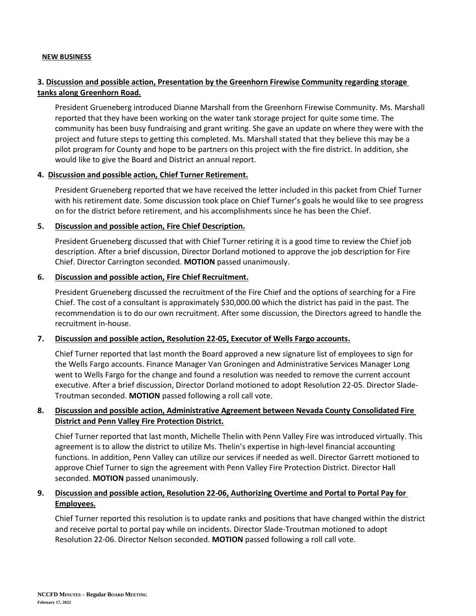#### **NEW BUSINESS**

# **3. Discussion and possible action, Presentation by the Greenhorn Firewise Community regarding storage tanks along Greenhorn Road.**

President Grueneberg introduced Dianne Marshall from the Greenhorn Firewise Community. Ms. Marshall reported that they have been working on the water tank storage project for quite some time. The community has been busy fundraising and grant writing. She gave an update on where they were with the project and future steps to getting this completed. Ms. Marshall stated that they believe this may be a pilot program for County and hope to be partners on this project with the fire district. In addition, she would like to give the Board and District an annual report.

## **4. Discussion and possible action, Chief Turner Retirement.**

President Grueneberg reported that we have received the letter included in this packet from Chief Turner with his retirement date. Some discussion took place on Chief Turner's goals he would like to see progress on for the district before retirement, and his accomplishments since he has been the Chief.

## **5. Discussion and possible action, Fire Chief Description.**

President Grueneberg discussed that with Chief Turner retiring it is a good time to review the Chief job description. After a brief discussion, Director Dorland motioned to approve the job description for Fire Chief. Director Carrington seconded. **MOTION** passed unanimously.

#### **6. Discussion and possible action, Fire Chief Recruitment.**

President Grueneberg discussed the recruitment of the Fire Chief and the options of searching for a Fire Chief. The cost of a consultant is approximately \$30,000.00 which the district has paid in the past. The recommendation is to do our own recruitment. After some discussion, the Directors agreed to handle the recruitment in-house.

## **7. Discussion and possible action, Resolution 22-05, Executor of Wells Fargo accounts.**

Chief Turner reported that last month the Board approved a new signature list of employees to sign for the Wells Fargo accounts. Finance Manager Van Groningen and Administrative Services Manager Long went to Wells Fargo for the change and found a resolution was needed to remove the current account executive. After a brief discussion, Director Dorland motioned to adopt Resolution 22-05. Director Slade-Troutman seconded. **MOTION** passed following a roll call vote.

# **8. Discussion and possible action, Administrative Agreement between Nevada County Consolidated Fire District and Penn Valley Fire Protection District.**

Chief Turner reported that last month, Michelle Thelin with Penn Valley Fire was introduced virtually. This agreement is to allow the district to utilize Ms. Thelin's expertise in high-level financial accounting functions. In addition, Penn Valley can utilize our services if needed as well. Director Garrett motioned to approve Chief Turner to sign the agreement with Penn Valley Fire Protection District. Director Hall seconded. **MOTION** passed unanimously.

# **9. Discussion and possible action, Resolution 22-06, Authorizing Overtime and Portal to Portal Pay for Employees.**

Chief Turner reported this resolution is to update ranks and positions that have changed within the district and receive portal to portal pay while on incidents. Director Slade-Troutman motioned to adopt Resolution 22-06. Director Nelson seconded. **MOTION** passed following a roll call vote.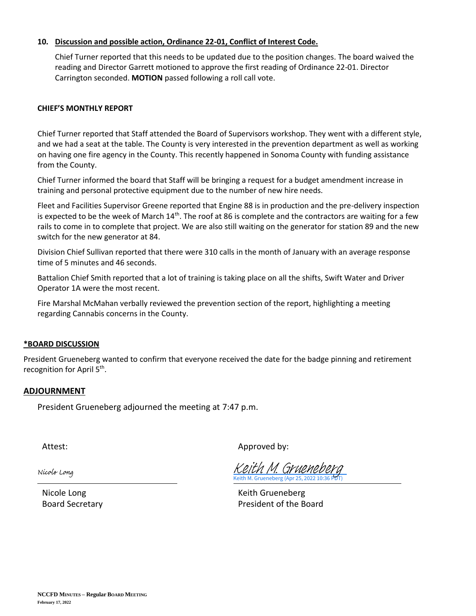## **10. Discussion and possible action, Ordinance 22-01, Conflict of Interest Code.**

Chief Turner reported that this needs to be updated due to the position changes. The board waived the reading and Director Garrett motioned to approve the first reading of Ordinance 22-01. Director Carrington seconded. **MOTION** passed following a roll call vote.

#### **CHIEF'S MONTHLY REPORT**

Chief Turner reported that Staff attended the Board of Supervisors workshop. They went with a different style, and we had a seat at the table. The County is very interested in the prevention department as well as working on having one fire agency in the County. This recently happened in Sonoma County with funding assistance from the County.

Chief Turner informed the board that Staff will be bringing a request for a budget amendment increase in training and personal protective equipment due to the number of new hire needs.

Fleet and Facilities Supervisor Greene reported that Engine 88 is in production and the pre-delivery inspection is expected to be the week of March  $14<sup>th</sup>$ . The roof at 86 is complete and the contractors are waiting for a few rails to come in to complete that project. We are also still waiting on the generator for station 89 and the new switch for the new generator at 84.

Division Chief Sullivan reported that there were 310 calls in the month of January with an average response time of 5 minutes and 46 seconds.

Battalion Chief Smith reported that a lot of training is taking place on all the shifts, Swift Water and Driver Operator 1A were the most recent.

Fire Marshal McMahan verbally reviewed the prevention section of the report, highlighting a meeting regarding Cannabis concerns in the County.

#### **\*BOARD DISCUSSION**

President Grueneberg wanted to confirm that everyone received the date for the badge pinning and retirement recognition for April 5<sup>th</sup>.

## **ADJOURNMENT**

President Grueneberg adjourned the meeting at 7:47 p.m.

Attest: Attest: Approved by:

Nicole Long

Keith M. Grueneberg (Apr 25, 202 Keith M. Gruenebe

Nicole Long Nicole Long Board Secretary **President of the Board**